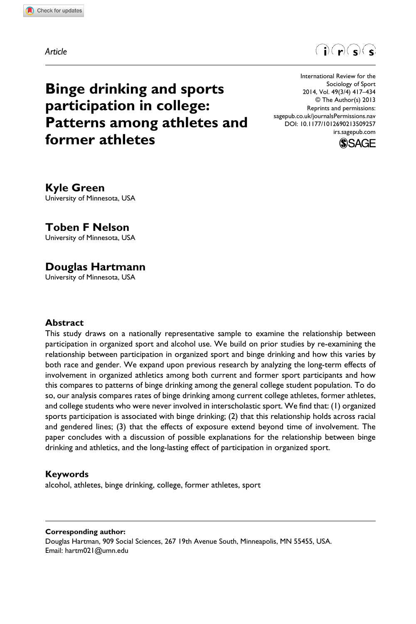**509[257](http://crossmark.crossref.org/dialog/?doi=10.1177%2F1012690213509257&domain=pdf&date_stamp=2014-06-27)**IRS493/410.1177/1012690213509257International Review for the Sociology of Sport**Green et al.**

*Article*



# **Binge drinking and sports participation in college: Patterns among athletes and former athletes**

International Review for the Sociology of Sport 2014, Vol. 49(3/4) 417–434 © The Author(s) 2013 Reprints and permissions: sagepub.co.uk/journalsPermissions.nav DOI: 10.1177/1012690213509257 irs.sagepub.com



**Kyle Green** University of Minnesota, USA

**Toben F Nelson** University of Minnesota, USA

# **Douglas Hartmann**

University of Minnesota, USA

#### **Abstract**

This study draws on a nationally representative sample to examine the relationship between participation in organized sport and alcohol use. We build on prior studies by re-examining the relationship between participation in organized sport and binge drinking and how this varies by both race and gender. We expand upon previous research by analyzing the long-term effects of involvement in organized athletics among both current and former sport participants and how this compares to patterns of binge drinking among the general college student population. To do so, our analysis compares rates of binge drinking among current college athletes, former athletes, and college students who were never involved in interscholastic sport. We find that: (1) organized sports participation is associated with binge drinking; (2) that this relationship holds across racial and gendered lines; (3) that the effects of exposure extend beyond time of involvement. The paper concludes with a discussion of possible explanations for the relationship between binge drinking and athletics, and the long-lasting effect of participation in organized sport.

#### **Keywords**

alcohol, athletes, binge drinking, college, former athletes, sport

#### **Corresponding author:** Douglas Hartman, 909 Social Sciences, 267 19th Avenue South, Minneapolis, MN 55455, USA. Email: hartm021@umn.edu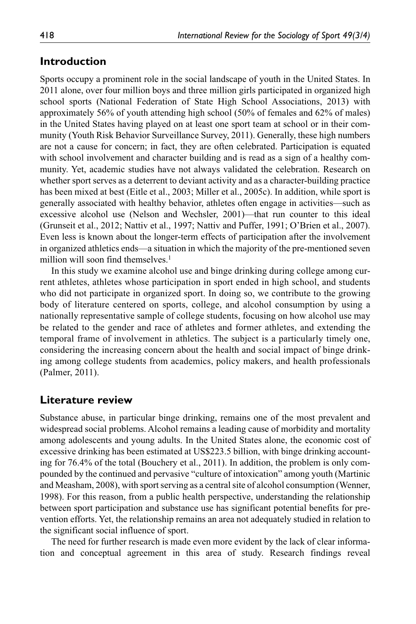# **Introduction**

Sports occupy a prominent role in the social landscape of youth in the United States. In 2011 alone, over four million boys and three million girls participated in organized high school sports (National Federation of State High School Associations, 2013) with approximately 56% of youth attending high school (50% of females and 62% of males) in the United States having played on at least one sport team at school or in their community (Youth Risk Behavior Surveillance Survey, 2011). Generally, these high numbers are not a cause for concern; in fact, they are often celebrated. Participation is equated with school involvement and character building and is read as a sign of a healthy community. Yet, academic studies have not always validated the celebration. Research on whether sport serves as a deterrent to deviant activity and as a character-building practice has been mixed at best (Eitle et al., 2003; Miller et al., 2005c). In addition, while sport is generally associated with healthy behavior, athletes often engage in activities—such as excessive alcohol use (Nelson and Wechsler, 2001)—that run counter to this ideal (Grunseit et al., 2012; Nattiv et al., 1997; Nattiv and Puffer, 1991; O'Brien et al., 2007). Even less is known about the longer-term effects of participation after the involvement in organized athletics ends—a situation in which the majority of the pre-mentioned seven million will soon find themselves.<sup>1</sup>

In this study we examine alcohol use and binge drinking during college among current athletes, athletes whose participation in sport ended in high school, and students who did not participate in organized sport. In doing so, we contribute to the growing body of literature centered on sports, college, and alcohol consumption by using a nationally representative sample of college students, focusing on how alcohol use may be related to the gender and race of athletes and former athletes, and extending the temporal frame of involvement in athletics. The subject is a particularly timely one, considering the increasing concern about the health and social impact of binge drinking among college students from academics, policy makers, and health professionals (Palmer, 2011).

## **Literature review**

Substance abuse, in particular binge drinking, remains one of the most prevalent and widespread social problems. Alcohol remains a leading cause of morbidity and mortality among adolescents and young adults. In the United States alone, the economic cost of excessive drinking has been estimated at US\$223.5 billion, with binge drinking accounting for 76.4% of the total (Bouchery et al., 2011). In addition, the problem is only compounded by the continued and pervasive "culture of intoxication" among youth (Martinic and Measham, 2008), with sport serving as a central site of alcohol consumption (Wenner, 1998). For this reason, from a public health perspective, understanding the relationship between sport participation and substance use has significant potential benefits for prevention efforts. Yet, the relationship remains an area not adequately studied in relation to the significant social influence of sport.

The need for further research is made even more evident by the lack of clear information and conceptual agreement in this area of study. Research findings reveal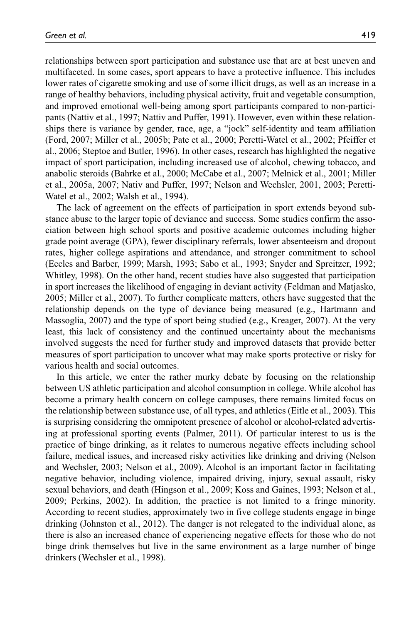relationships between sport participation and substance use that are at best uneven and multifaceted. In some cases, sport appears to have a protective influence. This includes lower rates of cigarette smoking and use of some illicit drugs, as well as an increase in a range of healthy behaviors, including physical activity, fruit and vegetable consumption, and improved emotional well-being among sport participants compared to non-participants (Nattiv et al., 1997; Nattiv and Puffer, 1991). However, even within these relationships there is variance by gender, race, age, a "jock" self-identity and team affiliation (Ford, 2007; Miller et al., 2005b; Pate et al., 2000; Peretti-Watel et al., 2002; Pfeiffer et al., 2006; Steptoe and Butler, 1996). In other cases, research has highlighted the negative impact of sport participation, including increased use of alcohol, chewing tobacco, and anabolic steroids (Bahrke et al., 2000; McCabe et al., 2007; Melnick et al., 2001; Miller et al., 2005a, 2007; Nativ and Puffer, 1997; Nelson and Wechsler, 2001, 2003; Peretti-Watel et al., 2002; Walsh et al., 1994).

The lack of agreement on the effects of participation in sport extends beyond substance abuse to the larger topic of deviance and success. Some studies confirm the association between high school sports and positive academic outcomes including higher grade point average (GPA), fewer disciplinary referrals, lower absenteeism and dropout rates, higher college aspirations and attendance, and stronger commitment to school (Eccles and Barber, 1999; Marsh, 1993; Sabo et al., 1993; Snyder and Spreitzer, 1992; Whitley, 1998). On the other hand, recent studies have also suggested that participation in sport increases the likelihood of engaging in deviant activity (Feldman and Matjasko, 2005; Miller et al., 2007). To further complicate matters, others have suggested that the relationship depends on the type of deviance being measured (e.g., Hartmann and Massoglia, 2007) and the type of sport being studied (e.g., Kreager, 2007). At the very least, this lack of consistency and the continued uncertainty about the mechanisms involved suggests the need for further study and improved datasets that provide better measures of sport participation to uncover what may make sports protective or risky for various health and social outcomes.

In this article, we enter the rather murky debate by focusing on the relationship between US athletic participation and alcohol consumption in college. While alcohol has become a primary health concern on college campuses, there remains limited focus on the relationship between substance use, of all types, and athletics (Eitle et al., 2003). This is surprising considering the omnipotent presence of alcohol or alcohol-related advertising at professional sporting events (Palmer, 2011). Of particular interest to us is the practice of binge drinking, as it relates to numerous negative effects including school failure, medical issues, and increased risky activities like drinking and driving (Nelson and Wechsler, 2003; Nelson et al., 2009). Alcohol is an important factor in facilitating negative behavior, including violence, impaired driving, injury, sexual assault, risky sexual behaviors, and death (Hingson et al., 2009; Koss and Gaines, 1993; Nelson et al., 2009; Perkins, 2002). In addition, the practice is not limited to a fringe minority. According to recent studies, approximately two in five college students engage in binge drinking (Johnston et al., 2012). The danger is not relegated to the individual alone, as there is also an increased chance of experiencing negative effects for those who do not binge drink themselves but live in the same environment as a large number of binge drinkers (Wechsler et al., 1998).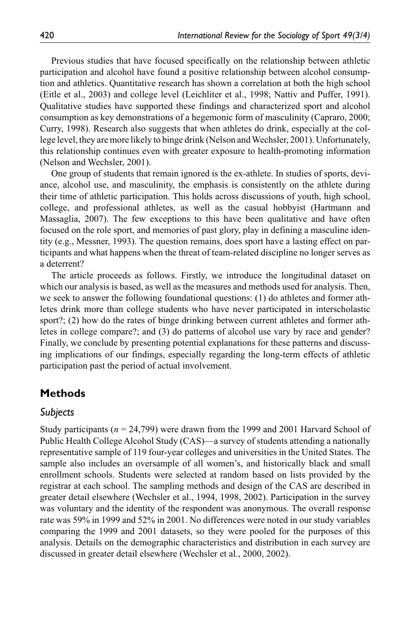Previous studies that have focused specifically on the relationship between athletic participation and alcohol have found a positive relationship between alcohol consumption and athletics. Quantitative research has shown a correlation at both the high school (Eitle et al., 2003) and college level (Leichliter et al., 1998; Nattiv and Puffer, 1991). Qualitative studies have supported these findings and characterized sport and alcohol consumption as key demonstrations of a hegemonic form of masculinity (Capraro, 2000; Curry, 1998). Research also suggests that when athletes do drink, especially at the college level, they are more likely to binge drink (Nelson and Wechsler, 2001). Unfortunately, this relationship continues even with greater exposure to health-promoting information (Nelson and Wechsler, 2001).

One group of students that remain ignored is the ex-athlete. In studies of sports, deviance, alcohol use, and masculinity, the emphasis is consistently on the athlete during their time of athletic participation. This holds across discussions of youth, high school, college, and professional athletes, as well as the casual hobbyist (Hartmann and Massaglia, 2007). The few exceptions to this have been qualitative and have often focused on the role sport, and memories of past glory, play in defining a masculine identity (e.g., Messner, 1993). The question remains, does sport have a lasting effect on participants and what happens when the threat of team-related discipline no longer serves as a deterrent?

The article proceeds as follows. Firstly, we introduce the longitudinal dataset on which our analysis is based, as well as the measures and methods used for analysis. Then, we seek to answer the following foundational questions: (1) do athletes and former athletes drink more than college students who have never participated in interscholastic sport?; (2) how do the rates of binge drinking between current athletes and former athletes in college compare?; and (3) do patterns of alcohol use vary by race and gender? Finally, we conclude by presenting potential explanations for these patterns and discussing implications of our findings, especially regarding the long-term effects of athletic participation past the period of actual involvement.

# **Methods**

## *Subjects*

Study participants (*n* = 24,799) were drawn from the 1999 and 2001 Harvard School of Public Health College Alcohol Study (CAS)—a survey of students attending a nationally representative sample of 119 four-year colleges and universities in the United States. The sample also includes an oversample of all women's, and historically black and small enrollment schools. Students were selected at random based on lists provided by the registrar at each school. The sampling methods and design of the CAS are described in greater detail elsewhere (Wechsler et al., 1994, 1998, 2002). Participation in the survey was voluntary and the identity of the respondent was anonymous. The overall response rate was 59% in 1999 and 52% in 2001. No differences were noted in our study variables comparing the 1999 and 2001 datasets, so they were pooled for the purposes of this analysis. Details on the demographic characteristics and distribution in each survey are discussed in greater detail elsewhere (Wechsler et al., 2000, 2002).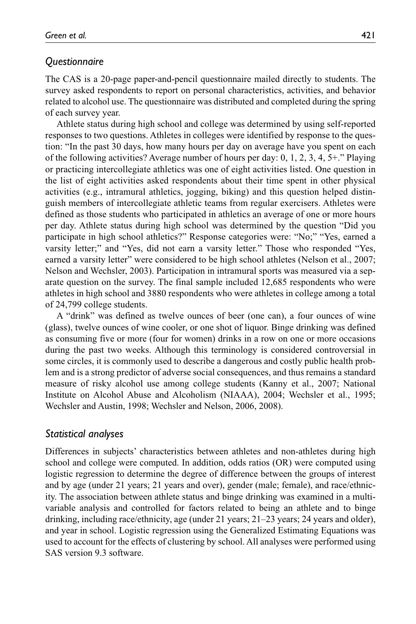#### *Questionnaire*

The CAS is a 20-page paper-and-pencil questionnaire mailed directly to students. The survey asked respondents to report on personal characteristics, activities, and behavior related to alcohol use. The questionnaire was distributed and completed during the spring of each survey year.

Athlete status during high school and college was determined by using self-reported responses to two questions. Athletes in colleges were identified by response to the question: "In the past 30 days, how many hours per day on average have you spent on each of the following activities? Average number of hours per day: 0, 1, 2, 3, 4, 5+." Playing or practicing intercollegiate athletics was one of eight activities listed. One question in the list of eight activities asked respondents about their time spent in other physical activities (e.g., intramural athletics, jogging, biking) and this question helped distinguish members of intercollegiate athletic teams from regular exercisers. Athletes were defined as those students who participated in athletics an average of one or more hours per day. Athlete status during high school was determined by the question "Did you participate in high school athletics?" Response categories were: "No;" "Yes, earned a varsity letter;" and "Yes, did not earn a varsity letter." Those who responded "Yes, earned a varsity letter" were considered to be high school athletes (Nelson et al., 2007; Nelson and Wechsler, 2003). Participation in intramural sports was measured via a separate question on the survey. The final sample included 12,685 respondents who were athletes in high school and 3880 respondents who were athletes in college among a total of 24,799 college students.

A "drink" was defined as twelve ounces of beer (one can), a four ounces of wine (glass), twelve ounces of wine cooler, or one shot of liquor. Binge drinking was defined as consuming five or more (four for women) drinks in a row on one or more occasions during the past two weeks. Although this terminology is considered controversial in some circles, it is commonly used to describe a dangerous and costly public health problem and is a strong predictor of adverse social consequences, and thus remains a standard measure of risky alcohol use among college students (Kanny et al., 2007; National Institute on Alcohol Abuse and Alcoholism (NIAAA), 2004; Wechsler et al., 1995; Wechsler and Austin, 1998; Wechsler and Nelson, 2006, 2008).

#### *Statistical analyses*

Differences in subjects' characteristics between athletes and non-athletes during high school and college were computed. In addition, odds ratios (OR) were computed using logistic regression to determine the degree of difference between the groups of interest and by age (under 21 years; 21 years and over), gender (male; female), and race/ethnicity. The association between athlete status and binge drinking was examined in a multivariable analysis and controlled for factors related to being an athlete and to binge drinking, including race/ethnicity, age (under 21 years; 21–23 years; 24 years and older), and year in school. Logistic regression using the Generalized Estimating Equations was used to account for the effects of clustering by school. All analyses were performed using SAS version 9.3 software.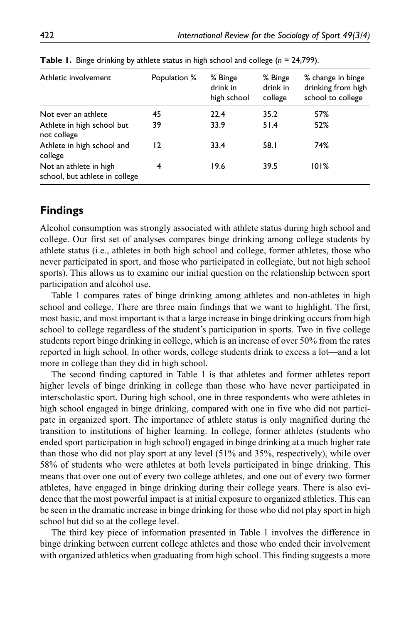| Athletic involvement                                     | Population % | % Binge<br>drink in<br>high school | % Binge<br>drink in<br>college | % change in binge<br>drinking from high<br>school to college |
|----------------------------------------------------------|--------------|------------------------------------|--------------------------------|--------------------------------------------------------------|
| Not ever an athlete                                      | 45           | 22.4                               | 35.2                           | 57%                                                          |
| Athlete in high school but<br>not college                | 39           | 33.9                               | 51.4                           | 52%                                                          |
| Athlete in high school and<br>college                    | 12           | 33.4                               | 58.I                           | 74%                                                          |
| Not an athlete in high<br>school, but athlete in college | 4            | 19.6                               | 39.5                           | 101%                                                         |

**Table 1.** Binge drinking by athlete status in high school and college (*n* = 24,799).

# **Findings**

Alcohol consumption was strongly associated with athlete status during high school and college. Our first set of analyses compares binge drinking among college students by athlete status (i.e., athletes in both high school and college, former athletes, those who never participated in sport, and those who participated in collegiate, but not high school sports). This allows us to examine our initial question on the relationship between sport participation and alcohol use.

Table 1 compares rates of binge drinking among athletes and non-athletes in high school and college. There are three main findings that we want to highlight. The first, most basic, and most important is that a large increase in binge drinking occurs from high school to college regardless of the student's participation in sports. Two in five college students report binge drinking in college, which is an increase of over 50% from the rates reported in high school. In other words, college students drink to excess a lot—and a lot more in college than they did in high school.

The second finding captured in Table 1 is that athletes and former athletes report higher levels of binge drinking in college than those who have never participated in interscholastic sport. During high school, one in three respondents who were athletes in high school engaged in binge drinking, compared with one in five who did not participate in organized sport. The importance of athlete status is only magnified during the transition to institutions of higher learning. In college, former athletes (students who ended sport participation in high school) engaged in binge drinking at a much higher rate than those who did not play sport at any level (51% and 35%, respectively), while over 58% of students who were athletes at both levels participated in binge drinking. This means that over one out of every two college athletes, and one out of every two former athletes, have engaged in binge drinking during their college years. There is also evidence that the most powerful impact is at initial exposure to organized athletics. This can be seen in the dramatic increase in binge drinking for those who did not play sport in high school but did so at the college level.

The third key piece of information presented in Table 1 involves the difference in binge drinking between current college athletes and those who ended their involvement with organized athletics when graduating from high school. This finding suggests a more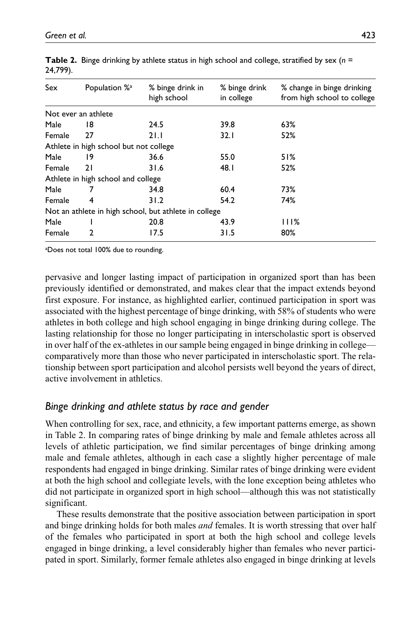| Sex    | Population % <sup>a</sup>              | % binge drink in<br>high school                       | % binge drink<br>in college | % change in binge drinking<br>from high school to college |
|--------|----------------------------------------|-------------------------------------------------------|-----------------------------|-----------------------------------------------------------|
|        | Not ever an athlete                    |                                                       |                             |                                                           |
| Male   | 18                                     | 24.5                                                  | 39.8                        | 63%                                                       |
| Female | 27                                     | 21.1                                                  | 32.1                        | 52%                                                       |
|        | Athlete in high school but not college |                                                       |                             |                                                           |
| Male   | 19                                     | 36.6                                                  | 55.0                        | 51%                                                       |
| Female | 21                                     | 31.6                                                  | 48.1                        | 52%                                                       |
|        | Athlete in high school and college     |                                                       |                             |                                                           |
| Male   |                                        | 34.8                                                  | 60.4                        | 73%                                                       |
| Female | 4                                      | 31.2                                                  | 54.2                        | 74%                                                       |
|        |                                        | Not an athlete in high school, but athlete in college |                             |                                                           |
| Male   |                                        | 20.8                                                  | 43.9                        | 111%                                                      |
| Female | 2                                      | 17.5                                                  | 31.5                        | 80%                                                       |

**Table 2.** Binge drinking by athlete status in high school and college, stratified by sex (*n* = 24,799).

a Does not total 100% due to rounding.

pervasive and longer lasting impact of participation in organized sport than has been previously identified or demonstrated, and makes clear that the impact extends beyond first exposure. For instance, as highlighted earlier, continued participation in sport was associated with the highest percentage of binge drinking, with 58% of students who were athletes in both college and high school engaging in binge drinking during college. The lasting relationship for those no longer participating in interscholastic sport is observed in over half of the ex-athletes in our sample being engaged in binge drinking in college comparatively more than those who never participated in interscholastic sport. The relationship between sport participation and alcohol persists well beyond the years of direct, active involvement in athletics.

## *Binge drinking and athlete status by race and gender*

When controlling for sex, race, and ethnicity, a few important patterns emerge, as shown in Table 2. In comparing rates of binge drinking by male and female athletes across all levels of athletic participation, we find similar percentages of binge drinking among male and female athletes, although in each case a slightly higher percentage of male respondents had engaged in binge drinking. Similar rates of binge drinking were evident at both the high school and collegiate levels, with the lone exception being athletes who did not participate in organized sport in high school—although this was not statistically significant.

These results demonstrate that the positive association between participation in sport and binge drinking holds for both males *and* females. It is worth stressing that over half of the females who participated in sport at both the high school and college levels engaged in binge drinking, a level considerably higher than females who never participated in sport. Similarly, former female athletes also engaged in binge drinking at levels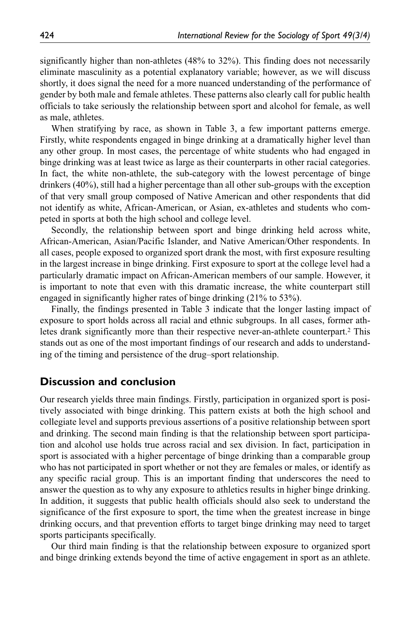significantly higher than non-athletes  $(48\%$  to  $32\%)$ . This finding does not necessarily eliminate masculinity as a potential explanatory variable; however, as we will discuss shortly, it does signal the need for a more nuanced understanding of the performance of gender by both male and female athletes. These patterns also clearly call for public health officials to take seriously the relationship between sport and alcohol for female, as well as male, athletes.

When stratifying by race, as shown in Table 3, a few important patterns emerge. Firstly, white respondents engaged in binge drinking at a dramatically higher level than any other group. In most cases, the percentage of white students who had engaged in binge drinking was at least twice as large as their counterparts in other racial categories. In fact, the white non-athlete, the sub-category with the lowest percentage of binge drinkers (40%), still had a higher percentage than all other sub-groups with the exception of that very small group composed of Native American and other respondents that did not identify as white, African-American, or Asian, ex-athletes and students who competed in sports at both the high school and college level.

Secondly, the relationship between sport and binge drinking held across white, African-American, Asian/Pacific Islander, and Native American/Other respondents. In all cases, people exposed to organized sport drank the most, with first exposure resulting in the largest increase in binge drinking. First exposure to sport at the college level had a particularly dramatic impact on African-American members of our sample. However, it is important to note that even with this dramatic increase, the white counterpart still engaged in significantly higher rates of binge drinking (21% to 53%).

Finally, the findings presented in Table 3 indicate that the longer lasting impact of exposure to sport holds across all racial and ethnic subgroups. In all cases, former athletes drank significantly more than their respective never-an-athlete counterpart.<sup>2</sup> This stands out as one of the most important findings of our research and adds to understanding of the timing and persistence of the drug–sport relationship.

### **Discussion and conclusion**

Our research yields three main findings. Firstly, participation in organized sport is positively associated with binge drinking. This pattern exists at both the high school and collegiate level and supports previous assertions of a positive relationship between sport and drinking. The second main finding is that the relationship between sport participation and alcohol use holds true across racial and sex division. In fact, participation in sport is associated with a higher percentage of binge drinking than a comparable group who has not participated in sport whether or not they are females or males, or identify as any specific racial group. This is an important finding that underscores the need to answer the question as to why any exposure to athletics results in higher binge drinking. In addition, it suggests that public health officials should also seek to understand the significance of the first exposure to sport, the time when the greatest increase in binge drinking occurs, and that prevention efforts to target binge drinking may need to target sports participants specifically.

Our third main finding is that the relationship between exposure to organized sport and binge drinking extends beyond the time of active engagement in sport as an athlete.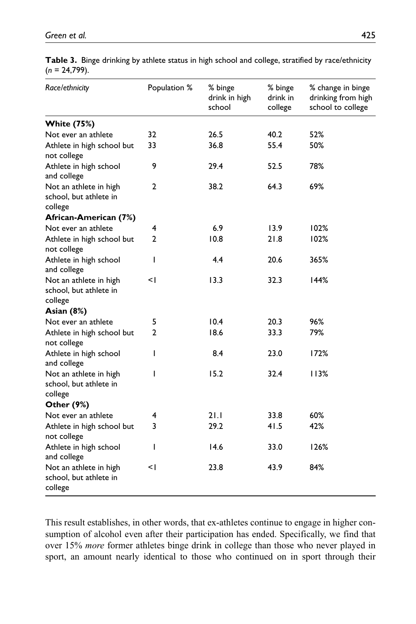| Race/ethnicity                                              | Population % | % binge<br>drink in high<br>school | % binge<br>drink in<br>college | % change in binge<br>drinking from high<br>school to college |
|-------------------------------------------------------------|--------------|------------------------------------|--------------------------------|--------------------------------------------------------------|
| <b>White (75%)</b>                                          |              |                                    |                                |                                                              |
| Not ever an athlete                                         | 32           | 26.5                               | 40.2                           | 52%                                                          |
| Athlete in high school but<br>not college                   | 33           | 36.8                               | 55.4                           | 50%                                                          |
| Athlete in high school<br>and college                       | 9            | 29.4                               | 52.5                           | 78%                                                          |
| Not an athlete in high<br>school, but athlete in<br>college | 2            | 38.2                               | 64.3                           | 69%                                                          |
| African-American (7%)                                       |              |                                    |                                |                                                              |
| Not ever an athlete                                         | 4            | 6.9                                | 13.9                           | 102%                                                         |
| Athlete in high school but<br>not college                   | 2            | 10.8                               | 21.8                           | 102%                                                         |
| Athlete in high school<br>and college                       | ı            | 4.4                                | 20.6                           | 365%                                                         |
| Not an athlete in high<br>school, but athlete in<br>college | $\leq$       | 13.3                               | 32.3                           | 144%                                                         |
| Asian (8%)                                                  |              |                                    |                                |                                                              |
| Not ever an athlete                                         | 5            | 10.4                               | 20.3                           | 96%                                                          |
| Athlete in high school but<br>not college                   | 2            | 18.6                               | 33.3                           | 79%                                                          |
| Athlete in high school<br>and college                       | $\mathsf{I}$ | 8.4                                | 23.0                           | 172%                                                         |
| Not an athlete in high<br>school, but athlete in<br>college | ı            | 15.2                               | 32.4                           | 113%                                                         |
| Other (9%)                                                  |              |                                    |                                |                                                              |
| Not ever an athlete                                         | 4            | 21.1                               | 33.8                           | 60%                                                          |
| Athlete in high school but<br>not college                   | 3            | 29.2                               | 41.5                           | 42%                                                          |
| Athlete in high school<br>and college                       | ı            | 14.6                               | 33.0                           | 126%                                                         |
| Not an athlete in high<br>school, but athlete in<br>college | $\leq$       | 23.8                               | 43.9                           | 84%                                                          |

**Table 3.** Binge drinking by athlete status in high school and college, stratified by race/ethnicity (*n* = 24,799).

This result establishes, in other words, that ex-athletes continue to engage in higher consumption of alcohol even after their participation has ended. Specifically, we find that over 15% *more* former athletes binge drink in college than those who never played in sport, an amount nearly identical to those who continued on in sport through their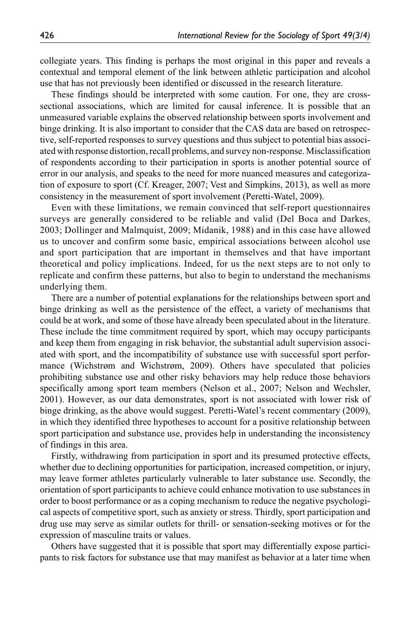collegiate years. This finding is perhaps the most original in this paper and reveals a contextual and temporal element of the link between athletic participation and alcohol use that has not previously been identified or discussed in the research literature.

These findings should be interpreted with some caution. For one, they are crosssectional associations, which are limited for causal inference. It is possible that an unmeasured variable explains the observed relationship between sports involvement and binge drinking. It is also important to consider that the CAS data are based on retrospective, self-reported responses to survey questions and thus subject to potential bias associated with response distortion, recall problems, and survey non-response. Misclassification of respondents according to their participation in sports is another potential source of error in our analysis, and speaks to the need for more nuanced measures and categorization of exposure to sport (Cf. Kreager, 2007; Vest and Simpkins, 2013), as well as more consistency in the measurement of sport involvement (Peretti-Watel, 2009).

Even with these limitations, we remain convinced that self-report questionnaires surveys are generally considered to be reliable and valid (Del Boca and Darkes, 2003; Dollinger and Malmquist, 2009; Midanik, 1988) and in this case have allowed us to uncover and confirm some basic, empirical associations between alcohol use and sport participation that are important in themselves and that have important theoretical and policy implications. Indeed, for us the next steps are to not only to replicate and confirm these patterns, but also to begin to understand the mechanisms underlying them.

There are a number of potential explanations for the relationships between sport and binge drinking as well as the persistence of the effect, a variety of mechanisms that could be at work, and some of those have already been speculated about in the literature. These include the time commitment required by sport, which may occupy participants and keep them from engaging in risk behavior, the substantial adult supervision associated with sport, and the incompatibility of substance use with successful sport performance (Wichstrøm and Wichstrøm, 2009). Others have speculated that policies prohibiting substance use and other risky behaviors may help reduce those behaviors specifically among sport team members (Nelson et al., 2007; Nelson and Wechsler, 2001). However, as our data demonstrates, sport is not associated with lower risk of binge drinking, as the above would suggest. Peretti-Watel's recent commentary (2009), in which they identified three hypotheses to account for a positive relationship between sport participation and substance use, provides help in understanding the inconsistency of findings in this area.

Firstly, withdrawing from participation in sport and its presumed protective effects, whether due to declining opportunities for participation, increased competition, or injury, may leave former athletes particularly vulnerable to later substance use. Secondly, the orientation of sport participants to achieve could enhance motivation to use substances in order to boost performance or as a coping mechanism to reduce the negative psychological aspects of competitive sport, such as anxiety or stress. Thirdly, sport participation and drug use may serve as similar outlets for thrill- or sensation-seeking motives or for the expression of masculine traits or values.

Others have suggested that it is possible that sport may differentially expose participants to risk factors for substance use that may manifest as behavior at a later time when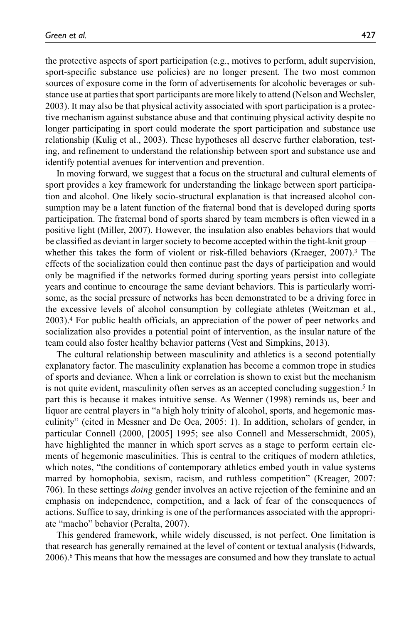the protective aspects of sport participation (e.g., motives to perform, adult supervision, sport-specific substance use policies) are no longer present. The two most common sources of exposure come in the form of advertisements for alcoholic beverages or substance use at parties that sport participants are more likely to attend (Nelson and Wechsler, 2003). It may also be that physical activity associated with sport participation is a protective mechanism against substance abuse and that continuing physical activity despite no longer participating in sport could moderate the sport participation and substance use relationship (Kulig et al., 2003). These hypotheses all deserve further elaboration, testing, and refinement to understand the relationship between sport and substance use and identify potential avenues for intervention and prevention.

In moving forward, we suggest that a focus on the structural and cultural elements of sport provides a key framework for understanding the linkage between sport participation and alcohol. One likely socio-structural explanation is that increased alcohol consumption may be a latent function of the fraternal bond that is developed during sports participation. The fraternal bond of sports shared by team members is often viewed in a positive light (Miller, 2007). However, the insulation also enables behaviors that would be classified as deviant in larger society to become accepted within the tight-knit group whether this takes the form of violent or risk-filled behaviors (Kraeger, 2007).<sup>3</sup> The effects of the socialization could then continue past the days of participation and would only be magnified if the networks formed during sporting years persist into collegiate years and continue to encourage the same deviant behaviors. This is particularly worrisome, as the social pressure of networks has been demonstrated to be a driving force in the excessive levels of alcohol consumption by collegiate athletes (Weitzman et al., 2003).4 For public health officials, an appreciation of the power of peer networks and socialization also provides a potential point of intervention, as the insular nature of the team could also foster healthy behavior patterns (Vest and Simpkins, 2013).

The cultural relationship between masculinity and athletics is a second potentially explanatory factor. The masculinity explanation has become a common trope in studies of sports and deviance. When a link or correlation is shown to exist but the mechanism is not quite evident, masculinity often serves as an accepted concluding suggestion.<sup>5</sup> In part this is because it makes intuitive sense. As Wenner (1998) reminds us, beer and liquor are central players in "a high holy trinity of alcohol, sports, and hegemonic masculinity" (cited in Messner and De Oca, 2005: 1). In addition, scholars of gender, in particular Connell (2000, [2005] 1995; see also Connell and Messerschmidt, 2005), have highlighted the manner in which sport serves as a stage to perform certain elements of hegemonic masculinities. This is central to the critiques of modern athletics, which notes, "the conditions of contemporary athletics embed youth in value systems marred by homophobia, sexism, racism, and ruthless competition" (Kreager, 2007: 706). In these settings *doing* gender involves an active rejection of the feminine and an emphasis on independence, competition, and a lack of fear of the consequences of actions. Suffice to say, drinking is one of the performances associated with the appropriate "macho" behavior (Peralta, 2007).

This gendered framework, while widely discussed, is not perfect. One limitation is that research has generally remained at the level of content or textual analysis (Edwards, 2006).6 This means that how the messages are consumed and how they translate to actual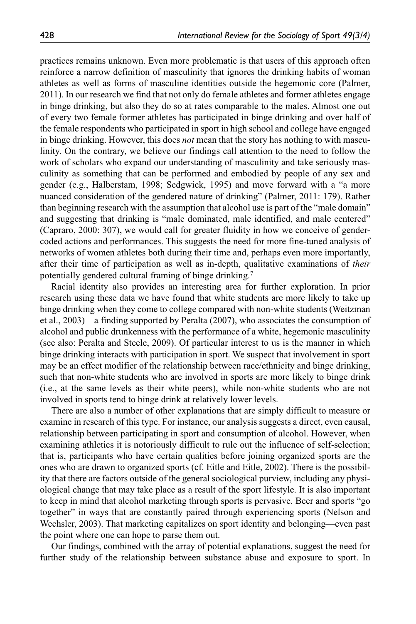practices remains unknown. Even more problematic is that users of this approach often reinforce a narrow definition of masculinity that ignores the drinking habits of woman athletes as well as forms of masculine identities outside the hegemonic core (Palmer, 2011). In our research we find that not only do female athletes and former athletes engage in binge drinking, but also they do so at rates comparable to the males. Almost one out of every two female former athletes has participated in binge drinking and over half of the female respondents who participated in sport in high school and college have engaged in binge drinking. However, this does *not* mean that the story has nothing to with masculinity. On the contrary, we believe our findings call attention to the need to follow the work of scholars who expand our understanding of masculinity and take seriously masculinity as something that can be performed and embodied by people of any sex and gender (e.g., Halberstam, 1998; Sedgwick, 1995) and move forward with a "a more nuanced consideration of the gendered nature of drinking" (Palmer, 2011: 179). Rather than beginning research with the assumption that alcohol use is part of the "male domain" and suggesting that drinking is "male dominated, male identified, and male centered" (Capraro, 2000: 307), we would call for greater fluidity in how we conceive of gendercoded actions and performances. This suggests the need for more fine-tuned analysis of networks of women athletes both during their time and, perhaps even more importantly, after their time of participation as well as in-depth, qualitative examinations of *their* potentially gendered cultural framing of binge drinking.7

Racial identity also provides an interesting area for further exploration. In prior research using these data we have found that white students are more likely to take up binge drinking when they come to college compared with non-white students (Weitzman et al., 2003)—a finding supported by Peralta (2007), who associates the consumption of alcohol and public drunkenness with the performance of a white, hegemonic masculinity (see also: Peralta and Steele, 2009). Of particular interest to us is the manner in which binge drinking interacts with participation in sport. We suspect that involvement in sport may be an effect modifier of the relationship between race/ethnicity and binge drinking, such that non-white students who are involved in sports are more likely to binge drink (i.e., at the same levels as their white peers), while non-white students who are not involved in sports tend to binge drink at relatively lower levels.

There are also a number of other explanations that are simply difficult to measure or examine in research of this type. For instance, our analysis suggests a direct, even causal, relationship between participating in sport and consumption of alcohol. However, when examining athletics it is notoriously difficult to rule out the influence of self-selection; that is, participants who have certain qualities before joining organized sports are the ones who are drawn to organized sports (cf. Eitle and Eitle, 2002). There is the possibility that there are factors outside of the general sociological purview, including any physiological change that may take place as a result of the sport lifestyle. It is also important to keep in mind that alcohol marketing through sports is pervasive. Beer and sports "go together" in ways that are constantly paired through experiencing sports (Nelson and Wechsler, 2003). That marketing capitalizes on sport identity and belonging—even past the point where one can hope to parse them out.

Our findings, combined with the array of potential explanations, suggest the need for further study of the relationship between substance abuse and exposure to sport. In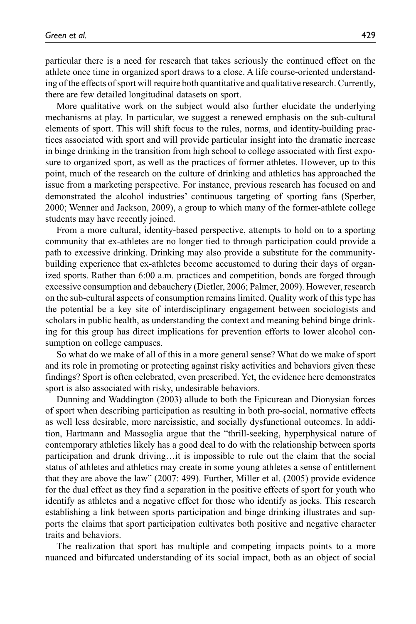particular there is a need for research that takes seriously the continued effect on the athlete once time in organized sport draws to a close. A life course-oriented understanding of the effects of sport will require both quantitative and qualitative research. Currently, there are few detailed longitudinal datasets on sport.

More qualitative work on the subject would also further elucidate the underlying mechanisms at play. In particular, we suggest a renewed emphasis on the sub-cultural elements of sport. This will shift focus to the rules, norms, and identity-building practices associated with sport and will provide particular insight into the dramatic increase in binge drinking in the transition from high school to college associated with first exposure to organized sport, as well as the practices of former athletes. However, up to this point, much of the research on the culture of drinking and athletics has approached the issue from a marketing perspective. For instance, previous research has focused on and demonstrated the alcohol industries' continuous targeting of sporting fans (Sperber, 2000; Wenner and Jackson, 2009), a group to which many of the former-athlete college students may have recently joined.

From a more cultural, identity-based perspective, attempts to hold on to a sporting community that ex-athletes are no longer tied to through participation could provide a path to excessive drinking. Drinking may also provide a substitute for the communitybuilding experience that ex-athletes become accustomed to during their days of organized sports. Rather than 6:00 a.m. practices and competition, bonds are forged through excessive consumption and debauchery (Dietler, 2006; Palmer, 2009). However, research on the sub-cultural aspects of consumption remains limited. Quality work of this type has the potential be a key site of interdisciplinary engagement between sociologists and scholars in public health, as understanding the context and meaning behind binge drinking for this group has direct implications for prevention efforts to lower alcohol consumption on college campuses.

So what do we make of all of this in a more general sense? What do we make of sport and its role in promoting or protecting against risky activities and behaviors given these findings? Sport is often celebrated, even prescribed. Yet, the evidence here demonstrates sport is also associated with risky, undesirable behaviors.

Dunning and Waddington (2003) allude to both the Epicurean and Dionysian forces of sport when describing participation as resulting in both pro-social, normative effects as well less desirable, more narcissistic, and socially dysfunctional outcomes. In addition, Hartmann and Massoglia argue that the "thrill-seeking, hyperphysical nature of contemporary athletics likely has a good deal to do with the relationship between sports participation and drunk driving…it is impossible to rule out the claim that the social status of athletes and athletics may create in some young athletes a sense of entitlement that they are above the law" (2007: 499). Further, Miller et al. (2005) provide evidence for the dual effect as they find a separation in the positive effects of sport for youth who identify as athletes and a negative effect for those who identify as jocks. This research establishing a link between sports participation and binge drinking illustrates and supports the claims that sport participation cultivates both positive and negative character traits and behaviors.

The realization that sport has multiple and competing impacts points to a more nuanced and bifurcated understanding of its social impact, both as an object of social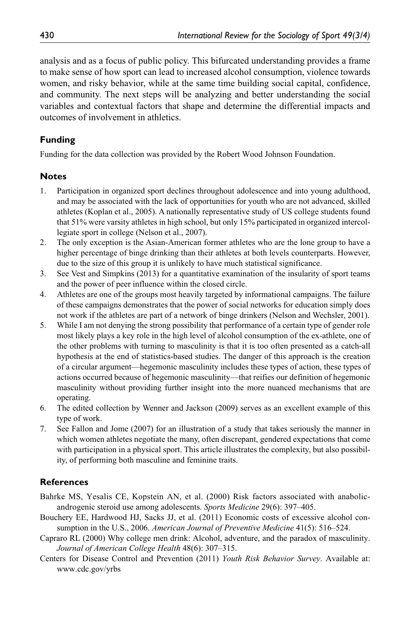analysis and as a focus of public policy. This bifurcated understanding provides a frame to make sense of how sport can lead to increased alcohol consumption, violence towards women, and risky behavior, while at the same time building social capital, confidence, and community. The next steps will be analyzing and better understanding the social variables and contextual factors that shape and determine the differential impacts and outcomes of involvement in athletics.

# **Funding**

Funding for the data collection was provided by the Robert Wood Johnson Foundation.

# **Notes**

- 1. Participation in organized sport declines throughout adolescence and into young adulthood, and may be associated with the lack of opportunities for youth who are not advanced, skilled athletes (Koplan et al., 2005). A nationally representative study of US college students found that 51% were varsity athletes in high school, but only 15% participated in organized intercollegiate sport in college (Nelson et al., 2007).
- 2. The only exception is the Asian-American former athletes who are the lone group to have a higher percentage of binge drinking than their athletes at both levels counterparts. However, due to the size of this group it is unlikely to have much statistical significance.
- 3. See Vest and Simpkins (2013) for a quantitative examination of the insularity of sport teams and the power of peer influence within the closed circle.
- 4. Athletes are one of the groups most heavily targeted by informational campaigns. The failure of these campaigns demonstrates that the power of social networks for education simply does not work if the athletes are part of a network of binge drinkers (Nelson and Wechsler, 2001).
- 5. While I am not denying the strong possibility that performance of a certain type of gender role most likely plays a key role in the high level of alcohol consumption of the ex-athlete, one of the other problems with turning to masculinity is that it is too often presented as a catch-all hypothesis at the end of statistics-based studies. The danger of this approach is the creation of a circular argument—hegemonic masculinity includes these types of action, these types of actions occurred because of hegemonic masculinity—that reifies our definition of hegemonic masculinity without providing further insight into the more nuanced mechanisms that are operating.
- 6. The edited collection by Wenner and Jackson (2009) serves as an excellent example of this type of work.
- 7. See Fallon and Jome (2007) for an illustration of a study that takes seriously the manner in which women athletes negotiate the many, often discrepant, gendered expectations that come with participation in a physical sport. This article illustrates the complexity, but also possibility, of performing both masculine and feminine traits.

# **References**

- Bahrke MS, Yesalis CE, Kopstein AN, et al. (2000) Risk factors associated with anabolicandrogenic steroid use among adolescents. *Sports Medicine* 29(6): 397–405.
- Bouchery EE, Hardwood HJ, Sacks JJ, et al. (2011) Economic costs of excessive alcohol consumption in the U.S., 2006. *American Journal of Preventive Medicine* 41(5): 516–524.
- Capraro RL (2000) Why college men drink: Alcohol, adventure, and the paradox of masculinity. *Journal of American College Health* 48(6): 307–315.
- Centers for Disease Control and Prevention (2011) *Youth Risk Behavior Survey*. Available at: www.cdc.gov/yrbs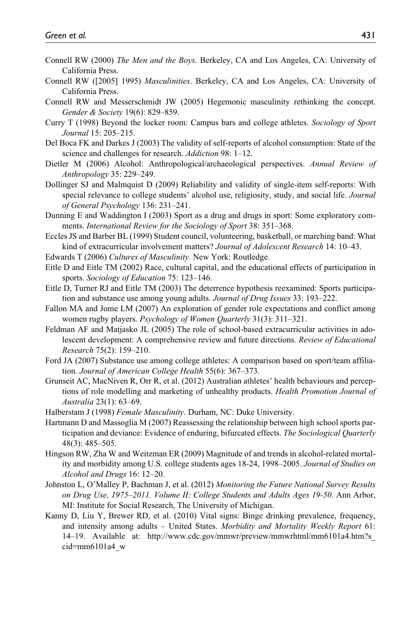- Connell RW (2000) *The Men and the Boys*. Berkeley, CA and Los Angeles, CA: University of California Press.
- Connell RW ([2005] 1995) *Masculinities*. Berkeley, CA and Los Angeles, CA: University of California Press.
- Connell RW and Messerschmidt JW (2005) Hegemonic masculinity rethinking the concept. *Gender & Society* 19(6): 829–859.
- Curry T (1998) Beyond the locker room: Campus bars and college athletes. *Sociology of Sport Journal* 15: 205–215.
- Del Boca FK and Darkes J (2003) The validity of self-reports of alcohol consumption: State of the science and challenges for research. *Addiction* 98: 1–12.
- Dietler M (2006) Alcohol: Anthropological/archaeological perspectives. *Annual Review of Anthropology* 35: 229–249.
- Dollinger SJ and Malmquist D (2009) Reliability and validity of single-item self-reports: With special relevance to college students' alcohol use, religiosity, study, and social life. *Journal of General Psychology* 136: 231–241.
- Dunning E and Waddington I (2003) Sport as a drug and drugs in sport: Some exploratory comments. *International Review for the Sociology of Sport* 38: 351–368.
- Eccles JS and Barber BL (1999) Student council, volunteering, basketball, or marching band: What kind of extracurricular involvement matters? *Journal of Adolescent Research* 14: 10–43. Edwards T (2006) *Cultures of Masculinity*. New York: Routledge.
- Eitle D and Eitle TM (2002) Race, cultural capital, and the educational effects of participation in sports. *Sociology of Education* 75: 123–146.
- Eitle D, Turner RJ and Eitle TM (2003) The deterrence hypothesis reexamined: Sports participation and substance use among young adults. *Journal of Drug Issues* 33: 193–222.
- Fallon MA and Jome LM (2007) An exploration of gender role expectations and conflict among women rugby players. *Psychology of Women Quarterly* 31(3): 311–321.
- Feldman AF and Matjasko JL (2005) The role of school-based extracurricular activities in adolescent development: A comprehensive review and future directions. *Review of Educational Research* 75(2): 159–210.
- Ford JA (2007) Substance use among college athletes: A comparison based on sport/team affiliation. *Journal of American College Health* 55(6): 367–373.
- Grunseit AC, MacNiven R, Orr R, et al. (2012) Australian athletes' health behaviours and perceptions of role modelling and marketing of unhealthy products. *Health Promotion Journal of Australia* 23(1): 63–69.
- Halberstam J (1998) *Female Masculinity*. Durham, NC: Duke University.
- Hartmann D and Massoglia M (2007) Reassessing the relationship between high school sports participation and deviance: Evidence of enduring, bifurcated effects. *The Sociological Quarterly* 48(3): 485–505.
- Hingson RW, Zha W and Weitzman ER (2009) Magnitude of and trends in alcohol-related mortality and morbidity among U.S. college students ages 18-24, 1998–2005. *Journal of Studies on Alcohol and Drugs* 16: 12–20.
- Johnston L, O'Malley P, Bachman J, et al. (2012) *Monitoring the Future National Survey Results on Drug Use, 1975–2011. Volume II: College Students and Adults Ages 19-50*. Ann Arbor, MI: Institute for Social Research, The University of Michigan.
- Kanny D, Liu Y, Brewer RD, et al. (2010) Vital signs: Binge drinking prevalence, frequency, and intensity among adults – United States. *Morbidity and Mortality Weekly Report* 61: 14–19. Available at: [http://www.cdc.gov/mmwr/preview/mmwrhtml/mm6101a4.htm?s\\_](http://www.cdc.gov/mmwr/preview/mmwrhtml/mm6101a4.htm?s_cid=mm6101a4_w) [cid=mm6101a4\\_w](http://www.cdc.gov/mmwr/preview/mmwrhtml/mm6101a4.htm?s_cid=mm6101a4_w)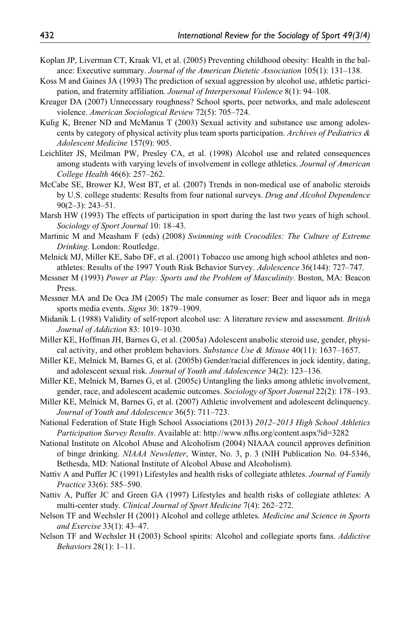- Koplan JP, Liverman CT, Kraak VI, et al. (2005) Preventing childhood obesity: Health in the balance: Executive summary. *Journal of the American Dietetic Association* 105(1): 131–138.
- Koss M and Gaines JA (1993) The prediction of sexual aggression by alcohol use, athletic participation, and fraternity affiliation. *Journal of Interpersonal Violence* 8(1): 94–108.
- Kreager DA (2007) Unnecessary roughness? School sports, peer networks, and male adolescent violence. *American Sociological Review* 72(5): 705–724.
- Kulig K, Brener ND and McManus T (2003) Sexual activity and substance use among adolescents by category of physical activity plus team sports participation. *Archives of Pediatrics & Adolescent Medicine* 157(9): 905.
- Leichliter JS, Meilman PW, Presley CA, et al. (1998) Alcohol use and related consequences among students with varying levels of involvement in college athletics. *Journal of American College Health* 46(6): 257–262.
- McCabe SE, Brower KJ, West BT, et al. (2007) Trends in non-medical use of anabolic steroids by U.S. college students: Results from four national surveys. *Drug and Alcohol Dependence* 90(2–3): 243–51.
- Marsh HW (1993) The effects of participation in sport during the last two years of high school. *Sociology of Sport Journal* 10: 18–43.
- Martinic M and Measham F (eds) (2008) *Swimming with Crocodiles: The Culture of Extreme Drinking*. London: Routledge.
- Melnick MJ, Miller KE, Sabo DF, et al. (2001) Tobacco use among high school athletes and nonathletes: Results of the 1997 Youth Risk Behavior Survey. *Adolescence* 36(144): 727–747.
- Messner M (1993) *Power at Play: Sports and the Problem of Masculinity*. Boston, MA: Beacon Press.
- Messner MA and De Oca JM (2005) The male consumer as loser: Beer and liquor ads in mega sports media events. *Signs* 30: 1879–1909.
- Midanik L (1988) Validity of self-report alcohol use: A literature review and assessment. *British Journal of Addiction* 83: 1019–1030.
- Miller KE, Hoffman JH, Barnes G, et al. (2005a) Adolescent anabolic steroid use, gender, physical activity, and other problem behaviors. *Substance Use & Misuse* 40(11): 1637–1657.
- Miller KE, Melnick M, Barnes G, et al. (2005b) Gender/racial differences in jock identity, dating, and adolescent sexual risk. *Journal of Youth and Adolescence* 34(2): 123–136.
- Miller KE, Melnick M, Barnes G, et al. (2005c) Untangling the links among athletic involvement, gender, race, and adolescent academic outcomes. *Sociology of Sport Journal* 22(2): 178–193.
- Miller KE, Melnick M, Barnes G, et al. (2007) Athletic involvement and adolescent delinquency. *Journal of Youth and Adolescence* 36(5): 711–723.
- National Federation of State High School Associations (2013) *2012–2013 High School Athletics Participation Survey Results*. Available at: http://www.nfhs.org/content.aspx?id=3282
- National Institute on Alcohol Abuse and Alcoholism (2004) NIAAA council approves definition of binge drinking. *NIAAA Newsletter*, Winter, No. 3, p. 3 (NIH Publication No. 04-5346, Bethesda, MD: National Institute of Alcohol Abuse and Alcoholism).
- Nattiv A and Puffer JC (1991) Lifestyles and health risks of collegiate athletes. *Journal of Family Practice* 33(6): 585–590.
- Nattiv A, Puffer JC and Green GA (1997) Lifestyles and health risks of collegiate athletes: A multi-center study. *Clinical Journal of Sport Medicine* 7(4): 262–272.
- Nelson TF and Wechsler H (2001) Alcohol and college athletes. *Medicine and Science in Sports and Exercise* 33(1): 43–47.
- Nelson TF and Wechsler H (2003) School spirits: Alcohol and collegiate sports fans. *Addictive Behaviors* 28(1): 1–11.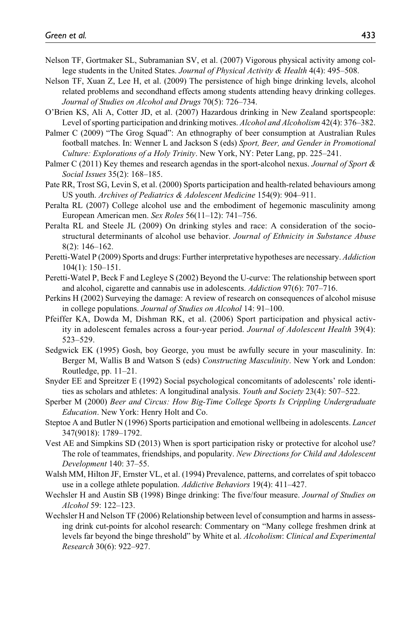- Nelson TF, Gortmaker SL, Subramanian SV, et al. (2007) Vigorous physical activity among college students in the United States. *Journal of Physical Activity & Health* 4(4): 495–508.
- Nelson TF, Xuan Z, Lee H, et al. (2009) The persistence of high binge drinking levels, alcohol related problems and secondhand effects among students attending heavy drinking colleges. *Journal of Studies on Alcohol and Drugs* 70(5): 726–734.
- O'Brien KS, Ali A, Cotter JD, et al. (2007) Hazardous drinking in New Zealand sportspeople: Level of sporting participation and drinking motives. *Alcohol and Alcoholism* 42(4): 376–382.
- Palmer C (2009) "The Grog Squad": An ethnography of beer consumption at Australian Rules football matches. In: Wenner L and Jackson S (eds) *Sport, Beer, and Gender in Promotional Culture: Explorations of a Holy Trinity*. New York, NY: Peter Lang, pp. 225–241.
- Palmer C (2011) Key themes and research agendas in the sport-alcohol nexus. *Journal of Sport & Social Issues* 35(2): 168–185.
- Pate RR, Trost SG, Levin S, et al. (2000) Sports participation and health-related behaviours among US youth. *Archives of Pediatrics & Adolescent Medicine* 154(9): 904–911.
- Peralta RL (2007) College alcohol use and the embodiment of hegemonic masculinity among European American men. *Sex Roles* 56(11–12): 741–756.
- Peralta RL and Steele JL (2009) On drinking styles and race: A consideration of the sociostructural determinants of alcohol use behavior. *Journal of Ethnicity in Substance Abuse* 8(2): 146–162.
- Peretti-Watel P (2009) Sports and drugs: Further interpretative hypotheses are necessary. *Addiction* 104(1): 150–151.
- Peretti-Watel P, Beck F and Legleye S (2002) Beyond the U-curve: The relationship between sport and alcohol, cigarette and cannabis use in adolescents. *Addiction* 97(6): 707–716.
- Perkins H (2002) Surveying the damage: A review of research on consequences of alcohol misuse in college populations. *Journal of Studies on Alcohol* 14: 91–100.
- Pfeiffer KA, Dowda M, Dishman RK, et al. (2006) Sport participation and physical activity in adolescent females across a four-year period. *Journal of Adolescent Health* 39(4): 523–529.
- Sedgwick EK (1995) Gosh, boy George, you must be awfully secure in your masculinity. In: Berger M, Wallis B and Watson S (eds) *Constructing Masculinity*. New York and London: Routledge, pp. 11–21.
- Snyder EE and Spreitzer E (1992) Social psychological concomitants of adolescents' role identities as scholars and athletes: A longitudinal analysis. *Youth and Society* 23(4): 507–522.
- Sperber M (2000) *Beer and Circus: How Big-Time College Sports Is Crippling Undergraduate Education*. New York: Henry Holt and Co.
- Steptoe A and Butler N (1996) Sports participation and emotional wellbeing in adolescents. *Lancet* 347(9018): 1789–1792.
- Vest AE and Simpkins SD (2013) When is sport participation risky or protective for alcohol use? The role of teammates, friendships, and popularity. *New Directions for Child and Adolescent Development* 140: 37–55.
- Walsh MM, Hilton JF, Ernster VL, et al. (1994) Prevalence, patterns, and correlates of spit tobacco use in a college athlete population. *Addictive Behaviors* 19(4): 411–427.
- Wechsler H and Austin SB (1998) Binge drinking: The five/four measure. *Journal of Studies on Alcohol* 59: 122–123.
- Wechsler H and Nelson TF (2006) Relationship between level of consumption and harms in assessing drink cut-points for alcohol research: Commentary on "Many college freshmen drink at levels far beyond the binge threshold" by White et al. *Alcoholism*: *Clinical and Experimental Research* 30(6): 922–927.